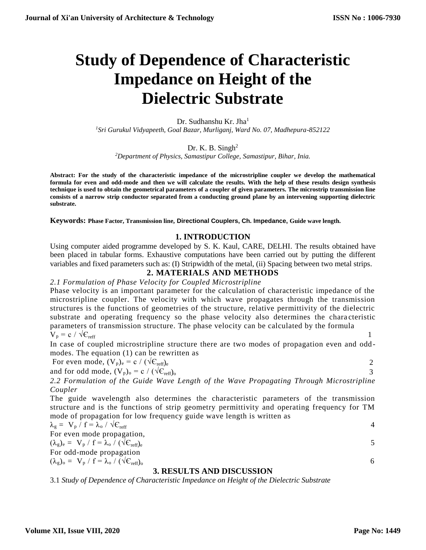# **Study of Dependence of Characteristic Impedance on Height of the Dielectric Substrate**

### Dr. Sudhanshu Kr. Jha<sup>1</sup> *<sup>1</sup>Sri Gurukul Vidyapeeth, Goal Bazar, Murliganj, Ward No. 07, Madhepura-852122*

Dr. K. B. Singh<sup>2</sup>

*<sup>2</sup>Department of Physics, Samastipur College, Samastipur, Bihar, Inia.*

**Abstract: For the study of the characteristic impedance of the microstripline coupler we develop the mathematical formula for even and odd-mode and then we will calculate the results. With the help of these results design synthesis technique is used to obtain the geometrical parameters of a coupler of given parameters. The microstrip transmission line consists of a narrow strip conductor separated from a conducting ground plane by an intervening supporting dielectric substrate.** 

**Keywords: Phase Factor, Transmission line, Directional Couplers, Ch. Impedance, Guide wave length.**

## **1. INTRODUCTION**

Using computer aided programme developed by S. K. Kaul, CARE, DELHI. The results obtained have been placed in tabular forms. Exhaustive computations have been carried out by putting the different variables and fixed parameters such as: (I) Stripwidth of the metal, (ii) Spacing between two metal strips.

## **2. MATERIALS AND METHODS**

#### *2.1 Formulation of Phase Velocity for Coupled Microstripline*

Phase velocity is an important parameter for the calculation of characteristic impedance of the microstripline coupler. The velocity with which wave propagates through the transmission structures is the functions of geometries of the structure, relative permittivity of the dielectric substrate and operating frequency so the phase velocity also determines the chara cteristic parameters of transmission structure. The phase velocity can be calculated by the formula  $V_p = c / \sqrt{\epsilon_{reff}}$  1

$$
V_p = c / \sqrt{C_{reff}}
$$

In case of coupled microstripline structure there are two modes of propagation even and oddmodes. The equation (1) can be rewritten as

For even mode,  $(V_p)_e = c / (\sqrt{C_{refr}})_e$  2

and for odd mode,  $(V_p)_o = c / (\sqrt{C_{ref}})_o$  3

*2.2 Formulation of the Guide Wave Length of the Wave Propagating Through Microstripline Coupler*

The guide wavelength also determines the characteristic parameters of the transmission structure and is the functions of strip geometry permittivity and operating frequency for TM mode of propagation for low frequency guide wave length is written as

$$
\lambda_{g} = V_{p} / f = \lambda_{o} / \sqrt{C_{ref}}
$$
  
For even mode propagation,  

$$
(\lambda_{g})_{e} = V_{p} / f = \lambda_{o} / (\sqrt{C_{refr}})_{e}
$$
  
For odd-mode propagation  

$$
(\lambda_{g})_{o} = V_{p} / f = \lambda_{o} / (\sqrt{C_{refr}})_{o}
$$

#### **3. RESULTS AND DISCUSSION**

3.1 *Study of Dependence of Characteristic Impedance on Height of the Dielectric Substrate*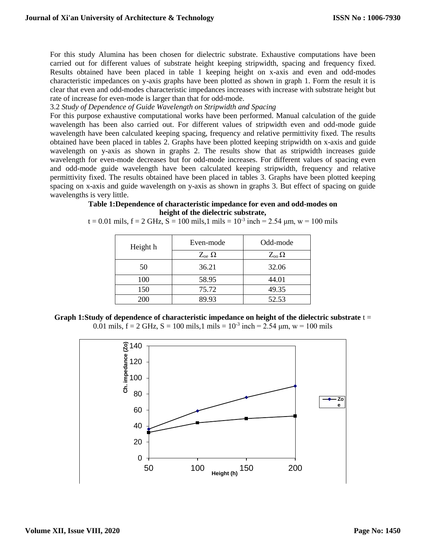For this study Alumina has been chosen for dielectric substrate. Exhaustive computations have been carried out for different values of substrate height keeping stripwidth, spacing and frequency fixed. Results obtained have been placed in table 1 keeping height on x-axis and even and odd-modes characteristic impedances on y-axis graphs have been plotted as shown in graph 1. Form the result it is clear that even and odd-modes characteristic impedances increases with increase with substrate height but rate of increase for even-mode is larger than that for odd-mode.

3.2 *Study of Dependence of Guide Wavelength on Stripwidth and Spacing*

For this purpose exhaustive computational works have been performed. Manual calculation of the guide wavelength has been also carried out. For different values of stripwidth even and odd-mode guide wavelength have been calculated keeping spacing, frequency and relative permittivity fixed. The results obtained have been placed in tables 2. Graphs have been plotted keeping stripwidth on x-axis and guide wavelength on y-axis as shown in graphs 2. The results show that as stripwidth increases guide wavelength for even-mode decreases but for odd-mode increases. For different values of spacing even and odd-mode guide wavelength have been calculated keeping stripwidth, frequency and relative permittivity fixed. The results obtained have been placed in tables 3. Graphs have been plotted keeping spacing on x-axis and guide wavelength on y-axis as shown in graphs 3. But effect of spacing on guide wavelengths is very little.

**Table 1:Dependence of characteristic impedance for even and odd-modes on height of the dielectric substrate,** 

t = 0.01 mils, f = 2 GHz, S = 100 mils,1 mils =  $10^{-3}$  inch = 2.54  $\mu$ m, w = 100 mils

| Height h | Even-mode         | Odd-mode        |  |  |
|----------|-------------------|-----------------|--|--|
|          | $Z_{oe}$ $\Omega$ | $Z_{oo} \Omega$ |  |  |
| 50       | 36.21             | 32.06           |  |  |
| 100      | 58.95             | 44.01           |  |  |
| 150      | 75.72             | 49.35           |  |  |
| 200      | 89.93             | 52.53           |  |  |

**Graph 1:Study of dependence of characteristic impedance on height of the dielectric substrate** t = 0.01 mils,  $f = 2$  GHz,  $S = 100$  mils, 1 mils  $= 10^{-3}$  inch  $= 2.54$  µm, w  $= 100$  mils

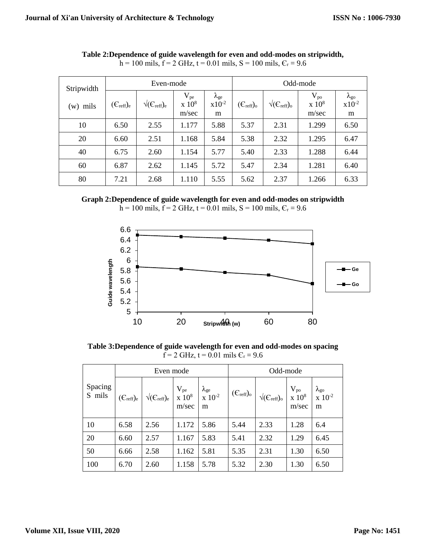| Stripwidth<br>$(w)$ mils | Even-mode                      |                              |                                    | Odd-mode                              |                                 |                              |                                                   |                                       |
|--------------------------|--------------------------------|------------------------------|------------------------------------|---------------------------------------|---------------------------------|------------------------------|---------------------------------------------------|---------------------------------------|
|                          | $(\epsilon_{\text{reff}})_{e}$ | $\sqrt{(C_{\text{reff}})_e}$ | $V_{pe}$<br>$\times 10^8$<br>m/sec | $\lambda_{\rm ge}$<br>$x10^{-2}$<br>m | $(\mathcal{C}_{\text{reff}})_o$ | $\sqrt{(C_{\text{reff}})_0}$ | $V_{po}$<br>$\mathrm{x}$ 10 <sup>8</sup><br>m/sec | $\lambda_{\rm go}$<br>$x10^{-2}$<br>m |
| 10                       | 6.50                           | 2.55                         | 1.177                              | 5.88                                  | 5.37                            | 2.31                         | 1.299                                             | 6.50                                  |
| 20                       | 6.60                           | 2.51                         | 1.168                              | 5.84                                  | 5.38                            | 2.32                         | 1.295                                             | 6.47                                  |
| 40                       | 6.75                           | 2.60                         | 1.154                              | 5.77                                  | 5.40                            | 2.33                         | 1.288                                             | 6.44                                  |
| 60                       | 6.87                           | 2.62                         | 1.145                              | 5.72                                  | 5.47                            | 2.34                         | 1.281                                             | 6.40                                  |
| 80                       | 7.21                           | 2.68                         | 1.110                              | 5.55                                  | 5.62                            | 2.37                         | 1.266                                             | 6.33                                  |

**Table 2:Dependence of guide wavelength for even and odd-modes on stripwidth,**  h = 100 mils, f = 2 GHz, t = 0.01 mils, S = 100 mils,  $C_r$  = 9.6

**Graph 2:Dependence of guide wavelength for even and odd-modes on stripwidth**





**Table 3:Dependence of guide wavelength for even and odd-modes on spacing**  $f = 2$  GHz,  $t = 0.01$  mils  $C_r = 9.6$ 

|                   | Even mode                             |                                       |                               | Odd-mode                                  |                                 |                                                |                                  |                                                       |
|-------------------|---------------------------------------|---------------------------------------|-------------------------------|-------------------------------------------|---------------------------------|------------------------------------------------|----------------------------------|-------------------------------------------------------|
| Spacing<br>S mils | $(\epsilon_{\text{reff}})_{\text{e}}$ | $\sqrt{(\mathsf{C}_{\text{reff}})_e}$ | $V_{pe}$<br>x $10^8$<br>m/sec | $\lambda_{ge}$<br>x 10 <sup>-2</sup><br>m | $(\mathcal{C}_{\text{reff}})_o$ | $\sqrt{(\mathsf{C}_{\text{reff}})_\mathrm{o}}$ | $\frac{V_{po}}{x~10^8}$<br>m/sec | $\lambda_{\rm go}$<br>$\bar{x}$ 10 <sup>-2</sup><br>m |
| 10                | 6.58                                  | 2.56                                  | 1.172                         | 5.86                                      | 5.44                            | 2.33                                           | 1.28                             | 6.4                                                   |
| 20                | 6.60                                  | 2.57                                  | 1.167                         | 5.83                                      | 5.41                            | 2.32                                           | 1.29                             | 6.45                                                  |
| 50                | 6.66                                  | 2.58                                  | 1.162                         | 5.81                                      | 5.35                            | 2.31                                           | 1.30                             | 6.50                                                  |
| 100               | 6.70                                  | 2.60                                  | 1.158                         | 5.78                                      | 5.32                            | 2.30                                           | 1.30                             | 6.50                                                  |